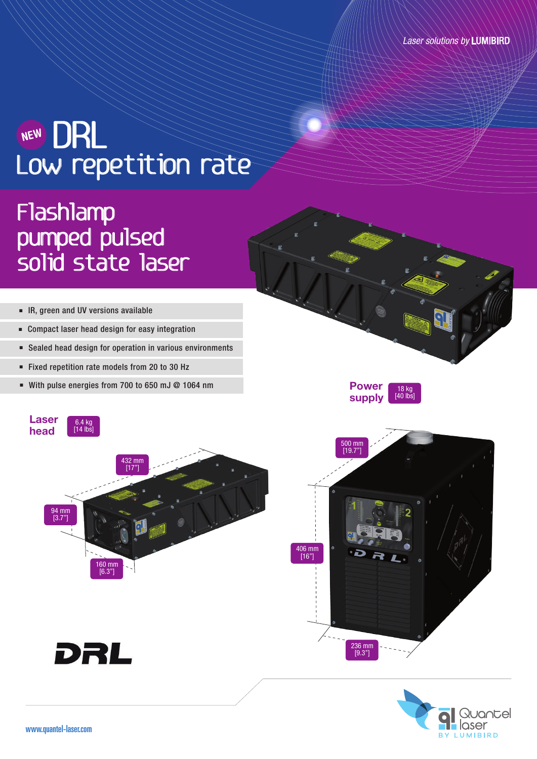### NEW DRL Low repetition rate NEW

# Flashlamp pumped pulsed solid state laser

- IR, green and UV versions available
- Compact laser head design for easy integration
- Sealed head design for operation in various environments
- Fixed repetition rate models from 20 to 30 Hz
- With pulse energies from 700 to 650 mJ @ 1064 nm







Power supply

18 kg [40 lbs]





DRL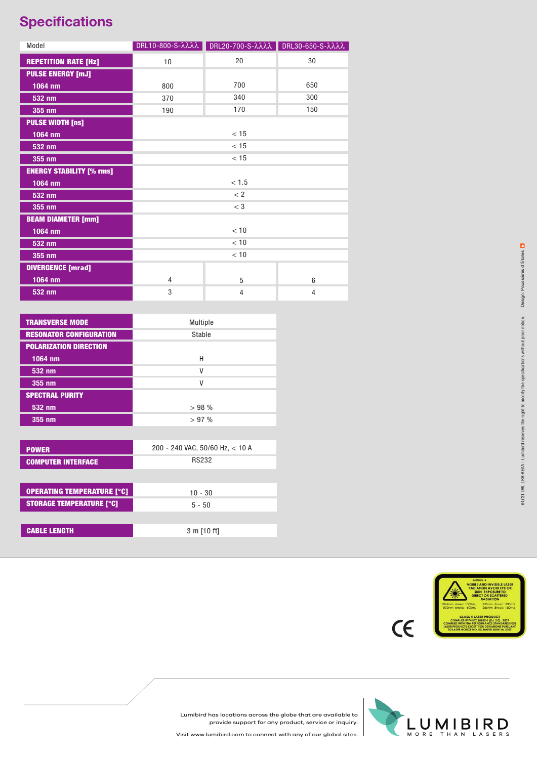#### **Specifications**

| Model                           |      | DRL10-800-S-λλλλ DRL20-700-S-λλλλ DRL30-650-S-λλλλ |     |
|---------------------------------|------|----------------------------------------------------|-----|
| <b>REPETITION RATE [Hz]</b>     | 10   | 20                                                 | 30  |
| <b>PULSE ENERGY [mJ]</b>        |      |                                                    |     |
| 1064 nm                         | 800  | 700                                                | 650 |
| 532 nm                          | 370  | 340                                                | 300 |
| 355 nm                          | 190  | 170                                                | 150 |
| <b>PULSE WIDTH [ns]</b>         |      |                                                    |     |
| 1064 nm                         | < 15 |                                                    |     |
| 532 nm                          | < 15 |                                                    |     |
| 355 nm                          | < 15 |                                                    |     |
| <b>ENERGY STABILITY [% rms]</b> |      |                                                    |     |
| 1064 nm                         |      | < 1.5                                              |     |
| 532 nm                          |      | < 2                                                |     |
| 355 nm                          |      | $<$ 3                                              |     |
| <b>BEAM DIAMETER [mm]</b>       |      |                                                    |     |
| $1064$ nm                       | < 10 |                                                    |     |
| 532 nm                          | < 10 |                                                    |     |
| 355 nm                          | < 10 |                                                    |     |
| <b>DIVERGENCE</b> [mrad]        |      |                                                    |     |
| $1064$ nm                       | 4    | 5                                                  | 6   |
| 532 nm                          | 3    | 4                                                  | 4   |

| <b>TRANSVERSE MODE</b>         | Multiple |
|--------------------------------|----------|
| <b>RESONATOR CONFIGURATION</b> | Stable   |
| <b>POLARIZATION DIRECTION</b>  |          |
| 1064 nm                        | Н        |
| 532 nm                         | ٧        |
| 355 nm                         | ٧        |
| <b>SPECTRAL PURITY</b>         |          |
| 532 nm                         | >98%     |
| 355 nm                         | $>97\%$  |

| <b>POWER</b>                      | 200 - 240 VAC, 50/60 Hz, $<$ 10 A |
|-----------------------------------|-----------------------------------|
| <b>COMPUTER INTERFACE</b>         | <b>RS232</b>                      |
|                                   |                                   |
| <b>OPERATING TEMPERATURE [°C]</b> | $10 - 30$                         |
| <b>STORAGE TEMPERATURE [°C]</b>   | $5 - 50$                          |
|                                   |                                   |
| <b>CABLE LENGTH</b>               | 3 m [10 ft]                       |
|                                   |                                   |



Lumibird has locations across the globe that are available to provide support for any product, service or inquiry.



 $C\epsilon$ 

Visit www.lumibird.com to connect with any of our global sites.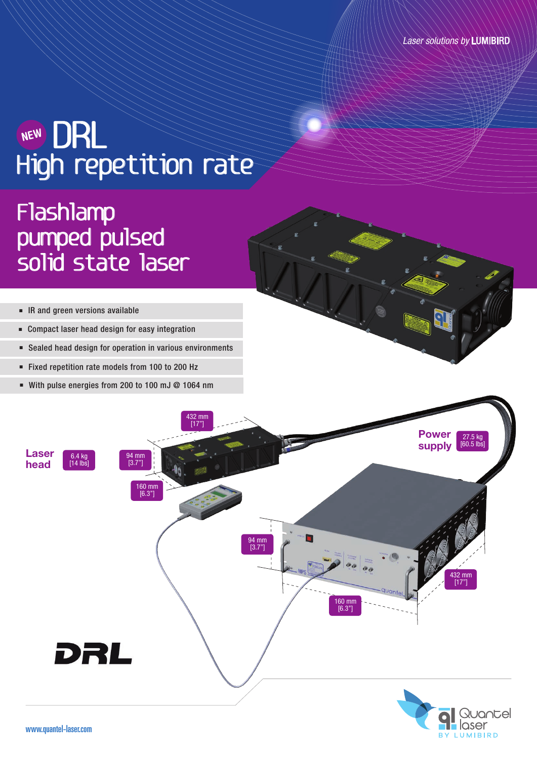## NEW DRL High repetition rate NEW

# Flashlamp pumped pulsed solid state laser

- IR and green versions available
- Compact laser head design for easy integration
- Sealed head design for operation in various environments
- Fixed repetition rate models from 100 to 200 Hz
- With pulse energies from 200 to 100 mJ @ 1064 nm